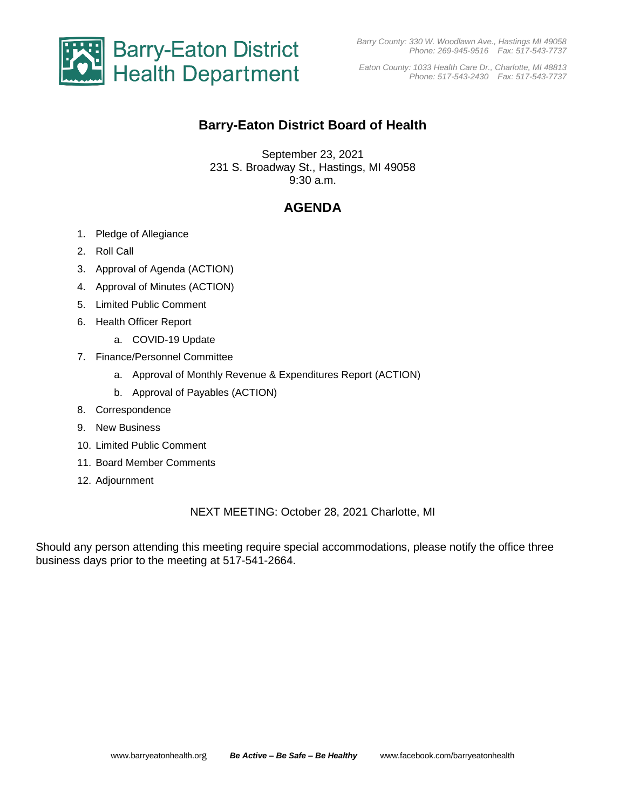

*Eaton County: 1033 Health Care Dr., Charlotte, MI 48813 Phone: 517-543-2430 Fax: 517-543-7737*

## **Barry-Eaton District Board of Health**

September 23, 2021 231 S. Broadway St., Hastings, MI 49058 9:30 a.m.

# **AGENDA**

- 1. Pledge of Allegiance
- 2. Roll Call
- 3. Approval of Agenda (ACTION)
- 4. Approval of Minutes (ACTION)
- 5. Limited Public Comment
- 6. Health Officer Report
	- a. COVID-19 Update
- 7. Finance/Personnel Committee
	- a. Approval of Monthly Revenue & Expenditures Report (ACTION)
	- b. Approval of Payables (ACTION)
- 8. Correspondence
- 9. New Business
- 10. Limited Public Comment
- 11. Board Member Comments
- 12. Adjournment

### NEXT MEETING: October 28, 2021 Charlotte, MI

Should any person attending this meeting require special accommodations, please notify the office three business days prior to the meeting at 517-541-2664.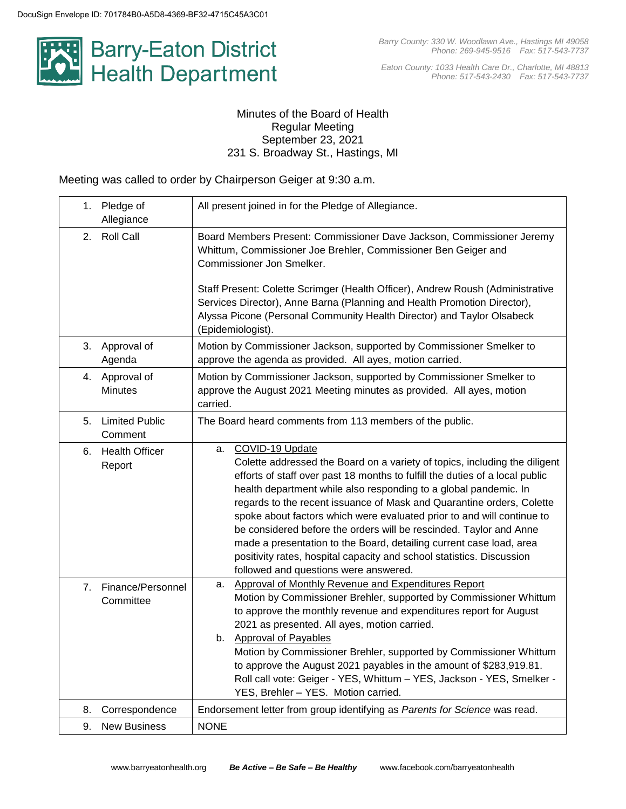

*Eaton County: 1033 Health Care Dr., Charlotte, MI 48813 Phone: 517-543-2430 Fax: 517-543-7737*

### Minutes of the Board of Health Regular Meeting September 23, 2021 231 S. Broadway St., Hastings, MI

Meeting was called to order by Chairperson Geiger at 9:30 a.m.

|    | 1. Pledge of<br>Allegiance        | All present joined in for the Pledge of Allegiance.                                                                                                                                                                                                                                                                                                                                                                                                                                                                                                                                                                                                                       |
|----|-----------------------------------|---------------------------------------------------------------------------------------------------------------------------------------------------------------------------------------------------------------------------------------------------------------------------------------------------------------------------------------------------------------------------------------------------------------------------------------------------------------------------------------------------------------------------------------------------------------------------------------------------------------------------------------------------------------------------|
| 2. | <b>Roll Call</b>                  | Board Members Present: Commissioner Dave Jackson, Commissioner Jeremy<br>Whittum, Commissioner Joe Brehler, Commissioner Ben Geiger and<br>Commissioner Jon Smelker.<br>Staff Present: Colette Scrimger (Health Officer), Andrew Roush (Administrative<br>Services Director), Anne Barna (Planning and Health Promotion Director),<br>Alyssa Picone (Personal Community Health Director) and Taylor Olsabeck<br>(Epidemiologist).                                                                                                                                                                                                                                         |
|    | 3. Approval of<br>Agenda          | Motion by Commissioner Jackson, supported by Commissioner Smelker to<br>approve the agenda as provided. All ayes, motion carried.                                                                                                                                                                                                                                                                                                                                                                                                                                                                                                                                         |
|    | 4. Approval of<br><b>Minutes</b>  | Motion by Commissioner Jackson, supported by Commissioner Smelker to<br>approve the August 2021 Meeting minutes as provided. All ayes, motion<br>carried.                                                                                                                                                                                                                                                                                                                                                                                                                                                                                                                 |
| 5. | <b>Limited Public</b><br>Comment  | The Board heard comments from 113 members of the public.                                                                                                                                                                                                                                                                                                                                                                                                                                                                                                                                                                                                                  |
| 6. | <b>Health Officer</b><br>Report   | COVID-19 Update<br>а.<br>Colette addressed the Board on a variety of topics, including the diligent<br>efforts of staff over past 18 months to fulfill the duties of a local public<br>health department while also responding to a global pandemic. In<br>regards to the recent issuance of Mask and Quarantine orders, Colette<br>spoke about factors which were evaluated prior to and will continue to<br>be considered before the orders will be rescinded. Taylor and Anne<br>made a presentation to the Board, detailing current case load, area<br>positivity rates, hospital capacity and school statistics. Discussion<br>followed and questions were answered. |
|    | 7. Finance/Personnel<br>Committee | Approval of Monthly Revenue and Expenditures Report<br>а.<br>Motion by Commissioner Brehler, supported by Commissioner Whittum<br>to approve the monthly revenue and expenditures report for August<br>2021 as presented. All ayes, motion carried.<br>b. Approval of Payables<br>Motion by Commissioner Brehler, supported by Commissioner Whittum<br>to approve the August 2021 payables in the amount of \$283,919.81.<br>Roll call vote: Geiger - YES, Whittum - YES, Jackson - YES, Smelker -<br>YES, Brehler - YES. Motion carried.                                                                                                                                 |
| 8. | Correspondence                    | Endorsement letter from group identifying as Parents for Science was read.                                                                                                                                                                                                                                                                                                                                                                                                                                                                                                                                                                                                |
| 9. | <b>New Business</b>               | <b>NONE</b>                                                                                                                                                                                                                                                                                                                                                                                                                                                                                                                                                                                                                                                               |